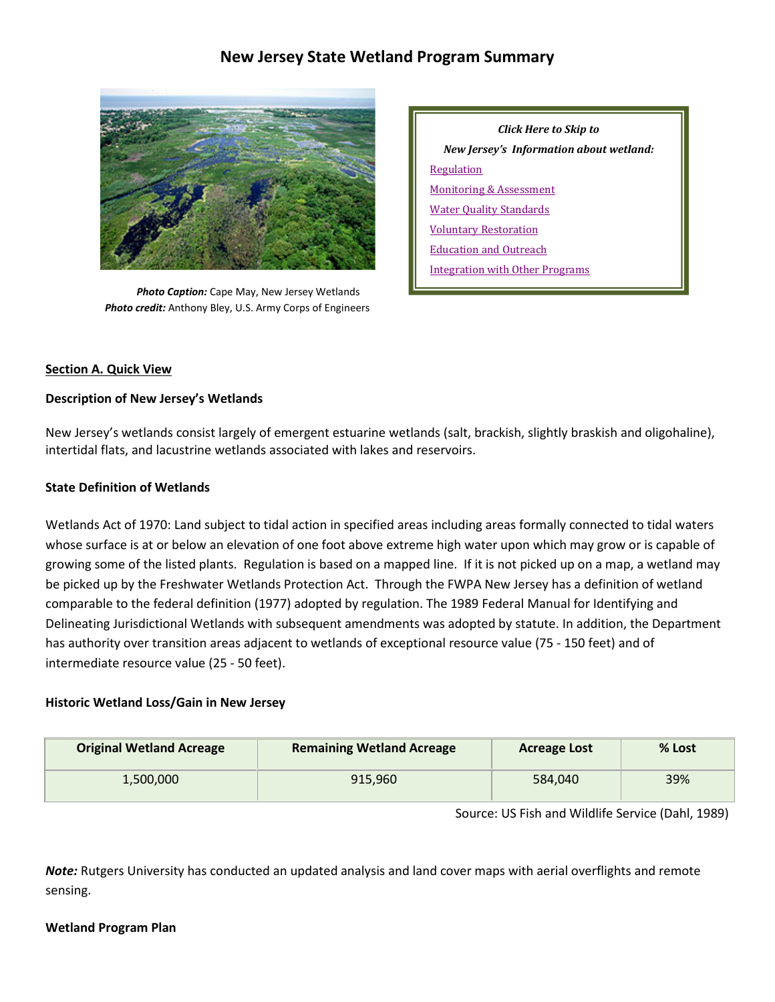# **New Jersey State Wetland Program Summary**



*Photo Caption:* Cape May, New Jersey Wetlands  *Photo credit:* Anthony Bley, U.S. Army Corps of Engineers

*Click Here to Skip to New Jersey's Information about wetland:* [Regulation](#page-2-0) [Monitoring & Assessment](#page-6-0) [Water Quality Standards](#page-5-0) [Voluntary Restoration](#page-7-0) [Education and Outreach](#page-9-0) [Integration with Other Programs](#page-10-0)

## **Section A. Quick View**

## **Description of New Jersey's Wetlands**

New Jersey's wetlands consist largely of emergent estuarine wetlands (salt, brackish, slightly braskish and oligohaline), intertidal flats, and lacustrine wetlands associated with lakes and reservoirs.

# **State Definition of Wetlands**

Wetlands Act of 1970: Land subject to tidal action in specified areas including areas formally connected to tidal waters whose surface is at or below an elevation of one foot above extreme high water upon which may grow or is capable of growing some of the listed plants. Regulation is based on a mapped line. If it is not picked up on a map, a wetland may be picked up by the Freshwater Wetlands Protection Act. Through the FWPA New Jersey has a definition of wetland comparable to the federal definition (1977) adopted by regulation. The 1989 Federal Manual for Identifying and Delineating Jurisdictional Wetlands with subsequent amendments was adopted by statute. In addition, the Department has authority over transition areas adjacent to wetlands of exceptional resource value (75 - 150 feet) and of intermediate resource value (25 - 50 feet).

## **Historic Wetland Loss/Gain in New Jersey**

| <b>Original Wetland Acreage</b> | <b>Remaining Wetland Acreage</b> | <b>Acreage Lost</b> | % Lost |
|---------------------------------|----------------------------------|---------------------|--------|
| 1,500,000                       | 915.960                          | 584,040             | 39%    |

Source: US Fish and Wildlife Service (Dahl, 1989)

*Note:* Rutgers University has conducted an updated analysis and land cover maps with aerial overflights and remote sensing.

## **Wetland Program Plan**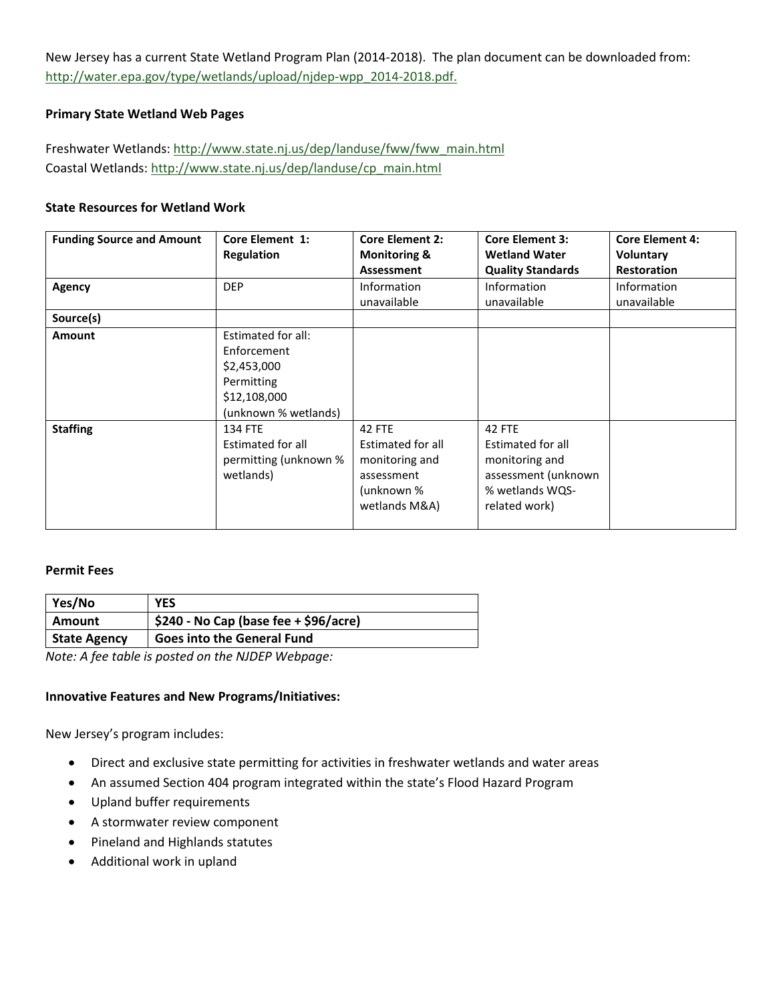New Jersey has a current State Wetland Program Plan (2014-2018). The plan document can be downloaded from: [http://water.epa.gov/type/wetlands/upload/njdep-wpp\\_2014-2018.pdf.](http://water.epa.gov/type/wetlands/upload/njdep-wpp_2014-2018.pdf)

## **Primary State Wetland Web Pages**

Freshwater Wetlands: [http://www.state.nj.us/dep/landuse/fww/fww\\_main.html](http://www.state.nj.us/dep/landuse/fww/fww_main.html) Coastal Wetlands: [http://www.state.nj.us/dep/landuse/cp\\_main.html](http://www.state.nj.us/dep/landuse/cp_main.html)

## **State Resources for Wetland Work**

| <b>Funding Source and Amount</b> | <b>Core Element 1:</b> | <b>Core Element 2:</b>  | <b>Core Element 3:</b>   | <b>Core Element 4:</b> |
|----------------------------------|------------------------|-------------------------|--------------------------|------------------------|
|                                  | <b>Regulation</b>      | <b>Monitoring &amp;</b> | <b>Wetland Water</b>     | Voluntary              |
|                                  |                        | Assessment              | <b>Quality Standards</b> | <b>Restoration</b>     |
| Agency                           | <b>DEP</b>             | Information             | Information              | <b>Information</b>     |
|                                  |                        | unavailable             | unavailable              | unavailable            |
| Source(s)                        |                        |                         |                          |                        |
| <b>Amount</b>                    | Estimated for all:     |                         |                          |                        |
|                                  | Enforcement            |                         |                          |                        |
|                                  | \$2,453,000            |                         |                          |                        |
|                                  | Permitting             |                         |                          |                        |
|                                  | \$12,108,000           |                         |                          |                        |
|                                  | (unknown % wetlands)   |                         |                          |                        |
| <b>Staffing</b>                  | <b>134 FTE</b>         | 42 FTE                  | 42 FTE                   |                        |
|                                  | Estimated for all      | Estimated for all       | Estimated for all        |                        |
|                                  | permitting (unknown %  | monitoring and          | monitoring and           |                        |
|                                  | wetlands)              | assessment              | assessment (unknown      |                        |
|                                  |                        | (unknown %              | % wetlands WQS-          |                        |
|                                  |                        | wetlands M&A)           | related work)            |                        |
|                                  |                        |                         |                          |                        |

## **Permit Fees**

| Yes/No              | <b>YES</b>                             |
|---------------------|----------------------------------------|
| Amount              | $$240$ - No Cap (base fee + \$96/acre) |
| <b>State Agency</b> | <b>Goes into the General Fund</b>      |

*Note: A fee table is posted on the NJDEP Webpage:* 

## **Innovative Features and New Programs/Initiatives:**

New Jersey's program includes:

- Direct and exclusive state permitting for activities in freshwater wetlands and water areas
- An assumed Section 404 program integrated within the state's Flood Hazard Program
- Upland buffer requirements
- A stormwater review component
- Pineland and Highlands statutes
- Additional work in upland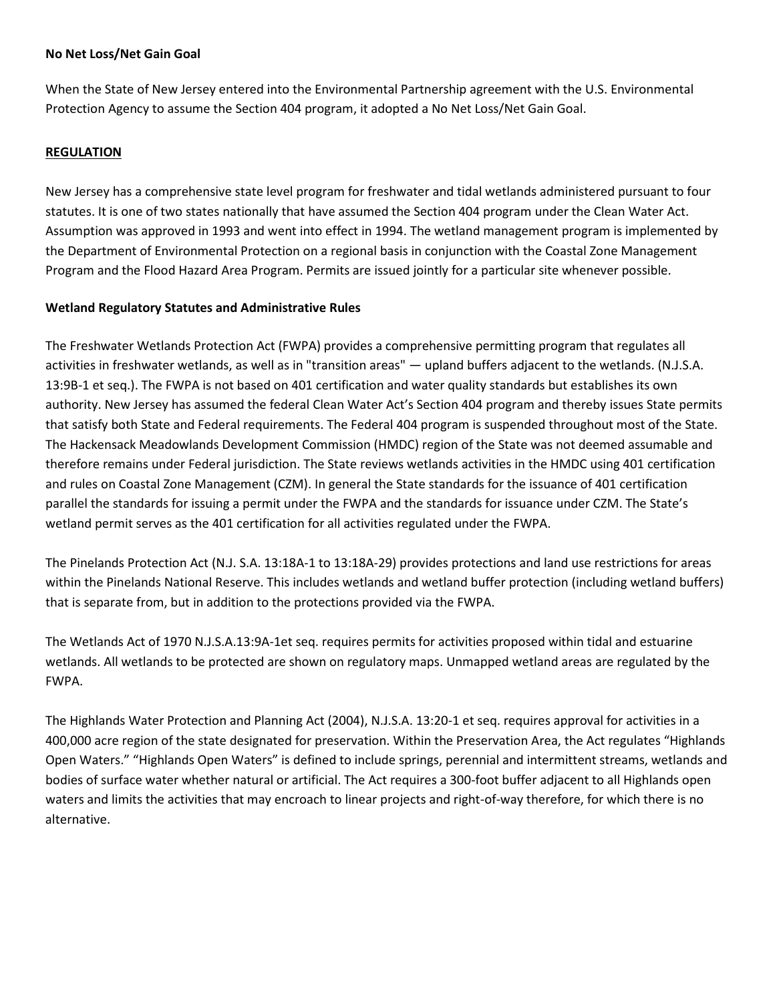#### **No Net Loss/Net Gain Goal**

When the State of New Jersey entered into the Environmental Partnership agreement with the U.S. Environmental Protection Agency to assume the Section 404 program, it adopted a No Net Loss/Net Gain Goal.

## <span id="page-2-0"></span>**REGULATION**

New Jersey has a comprehensive state level program for freshwater and tidal wetlands administered pursuant to four statutes. It is one of two states nationally that have assumed the Section 404 program under the Clean Water Act. Assumption was approved in 1993 and went into effect in 1994. The wetland management program is implemented by the Department of Environmental Protection on a regional basis in conjunction with the Coastal Zone Management Program and the Flood Hazard Area Program. Permits are issued jointly for a particular site whenever possible.

## **Wetland Regulatory Statutes and Administrative Rules**

The Freshwater Wetlands Protection Act (FWPA) provides a comprehensive permitting program that regulates all activities in freshwater wetlands, as well as in "transition areas" — upland buffers adjacent to the wetlands. (N.J.S.A. 13:9B-1 et seq.). The FWPA is not based on 401 certification and water quality standards but establishes its own authority. New Jersey has assumed the federal Clean Water Act's Section 404 program and thereby issues State permits that satisfy both State and Federal requirements. The Federal 404 program is suspended throughout most of the State. The Hackensack Meadowlands Development Commission (HMDC) region of the State was not deemed assumable and therefore remains under Federal jurisdiction. The State reviews wetlands activities in the HMDC using 401 certification and rules on Coastal Zone Management (CZM). In general the State standards for the issuance of 401 certification parallel the standards for issuing a permit under the FWPA and the standards for issuance under CZM. The State's wetland permit serves as the 401 certification for all activities regulated under the FWPA.

The Pinelands Protection Act (N.J. S.A. 13:18A-1 to 13:18A-29) provides protections and land use restrictions for areas within the Pinelands National Reserve. This includes wetlands and wetland buffer protection (including wetland buffers) that is separate from, but in addition to the protections provided via the FWPA.

The Wetlands Act of 1970 N.J.S.A.13:9A-1et seq. requires permits for activities proposed within tidal and estuarine wetlands. All wetlands to be protected are shown on regulatory maps. Unmapped wetland areas are regulated by the FWPA.

The Highlands Water Protection and Planning Act (2004), N.J.S.A. 13:20-1 et seq. requires approval for activities in a 400,000 acre region of the state designated for preservation. Within the Preservation Area, the Act regulates "Highlands Open Waters." "Highlands Open Waters" is defined to include springs, perennial and intermittent streams, wetlands and bodies of surface water whether natural or artificial. The Act requires a 300-foot buffer adjacent to all Highlands open waters and limits the activities that may encroach to linear projects and right-of-way therefore, for which there is no alternative.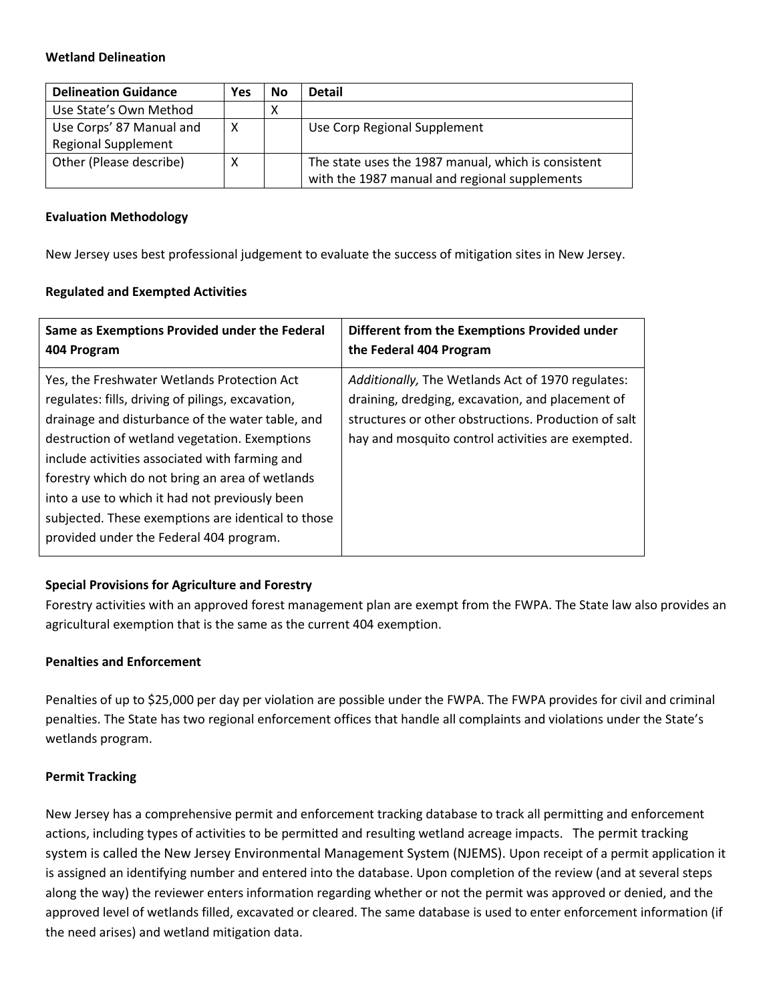## **Wetland Delineation**

| <b>Delineation Guidance</b> | Yes | No | <b>Detail</b>                                       |
|-----------------------------|-----|----|-----------------------------------------------------|
| Use State's Own Method      |     | Χ  |                                                     |
| Use Corps' 87 Manual and    | X   |    | Use Corp Regional Supplement                        |
| <b>Regional Supplement</b>  |     |    |                                                     |
| Other (Please describe)     | Χ   |    | The state uses the 1987 manual, which is consistent |
|                             |     |    | with the 1987 manual and regional supplements       |

## **Evaluation Methodology**

New Jersey uses best professional judgement to evaluate the success of mitigation sites in New Jersey.

## **Regulated and Exempted Activities**

| Same as Exemptions Provided under the Federal                                                                                                                                                                                                                                                                                                                                                                                                                 | Different from the Exemptions Provided under                                                                                                                                                                       |
|---------------------------------------------------------------------------------------------------------------------------------------------------------------------------------------------------------------------------------------------------------------------------------------------------------------------------------------------------------------------------------------------------------------------------------------------------------------|--------------------------------------------------------------------------------------------------------------------------------------------------------------------------------------------------------------------|
| 404 Program                                                                                                                                                                                                                                                                                                                                                                                                                                                   | the Federal 404 Program                                                                                                                                                                                            |
| Yes, the Freshwater Wetlands Protection Act<br>regulates: fills, driving of pilings, excavation,<br>drainage and disturbance of the water table, and<br>destruction of wetland vegetation. Exemptions<br>include activities associated with farming and<br>forestry which do not bring an area of wetlands<br>into a use to which it had not previously been<br>subjected. These exemptions are identical to those<br>provided under the Federal 404 program. | Additionally, The Wetlands Act of 1970 regulates:<br>draining, dredging, excavation, and placement of<br>structures or other obstructions. Production of salt<br>hay and mosquito control activities are exempted. |

# **Special Provisions for Agriculture and Forestry**

Forestry activities with an approved forest management plan are exempt from the FWPA. The State law also provides an agricultural exemption that is the same as the current 404 exemption.

## **Penalties and Enforcement**

Penalties of up to \$25,000 per day per violation are possible under the FWPA. The FWPA provides for civil and criminal penalties. The State has two regional enforcement offices that handle all complaints and violations under the State's wetlands program.

## **Permit Tracking**

New Jersey has a comprehensive permit and enforcement tracking database to track all permitting and enforcement actions, including types of activities to be permitted and resulting wetland acreage impacts. The permit tracking system is called the New Jersey Environmental Management System (NJEMS). Upon receipt of a permit application it is assigned an identifying number and entered into the database. Upon completion of the review (and at several steps along the way) the reviewer enters information regarding whether or not the permit was approved or denied, and the approved level of wetlands filled, excavated or cleared. The same database is used to enter enforcement information (if the need arises) and wetland mitigation data.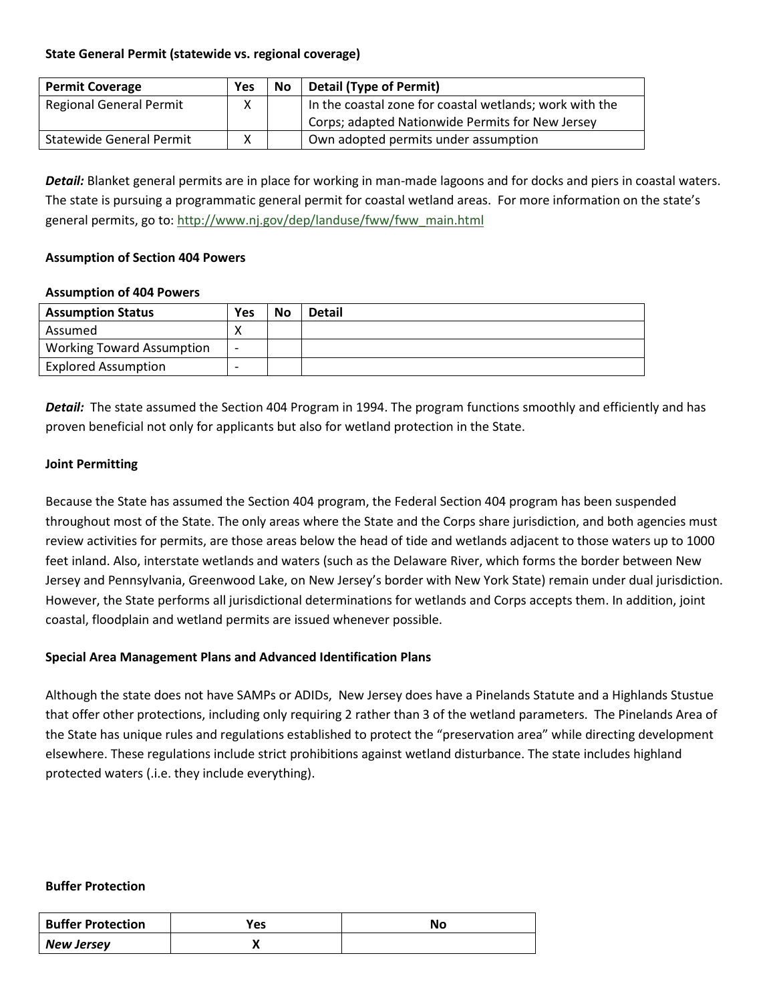## **State General Permit (statewide vs. regional coverage)**

| <b>Permit Coverage</b>          | Yes | <b>No</b> | <b>Detail (Type of Permit)</b>                          |
|---------------------------------|-----|-----------|---------------------------------------------------------|
| <b>Regional General Permit</b>  | x   |           | In the coastal zone for coastal wetlands; work with the |
|                                 |     |           | Corps; adapted Nationwide Permits for New Jersey        |
| <b>Statewide General Permit</b> | x   |           | Own adopted permits under assumption                    |

*Detail:* Blanket general permits are in place for working in man-made lagoons and for docks and piers in coastal waters. The state is pursuing a programmatic general permit for coastal wetland areas. For more information on the state's general permits, go to: [http://www.nj.gov/dep/landuse/fww/fww\\_main.html](http://www.nj.gov/dep/landuse/fww/fww_main.html)

#### **Assumption of Section 404 Powers**

#### **Assumption of 404 Powers**

| <b>Assumption Status</b>         | Yes                      | <b>No</b> | <b>Detail</b> |
|----------------------------------|--------------------------|-----------|---------------|
| Assumed                          |                          |           |               |
| <b>Working Toward Assumption</b> | $\overline{\phantom{0}}$ |           |               |
| <b>Explored Assumption</b>       | $\overline{\phantom{0}}$ |           |               |

*Detail:* The state assumed the Section 404 Program in 1994. The program functions smoothly and efficiently and has proven beneficial not only for applicants but also for wetland protection in the State.

## **Joint Permitting**

Because the State has assumed the Section 404 program, the Federal Section 404 program has been suspended throughout most of the State. The only areas where the State and the Corps share jurisdiction, and both agencies must review activities for permits, are those areas below the head of tide and wetlands adjacent to those waters up to 1000 feet inland. Also, interstate wetlands and waters (such as the Delaware River, which forms the border between New Jersey and Pennsylvania, Greenwood Lake, on New Jersey's border with New York State) remain under dual jurisdiction. However, the State performs all jurisdictional determinations for wetlands and Corps accepts them. In addition, joint coastal, floodplain and wetland permits are issued whenever possible.

## **Special Area Management Plans and Advanced Identification Plans**

Although the state does not have SAMPs or ADIDs, New Jersey does have a Pinelands Statute and a Highlands Stustue that offer other protections, including only requiring 2 rather than 3 of the wetland parameters. The Pinelands Area of the State has unique rules and regulations established to protect the "preservation area" while directing development elsewhere. These regulations include strict prohibitions against wetland disturbance. The state includes highland protected waters (.i.e. they include everything).

#### **Buffer Protection**

| <b>Buffer Protection</b> | Yes | Νo |
|--------------------------|-----|----|
| <b>New Jersey</b>        |     |    |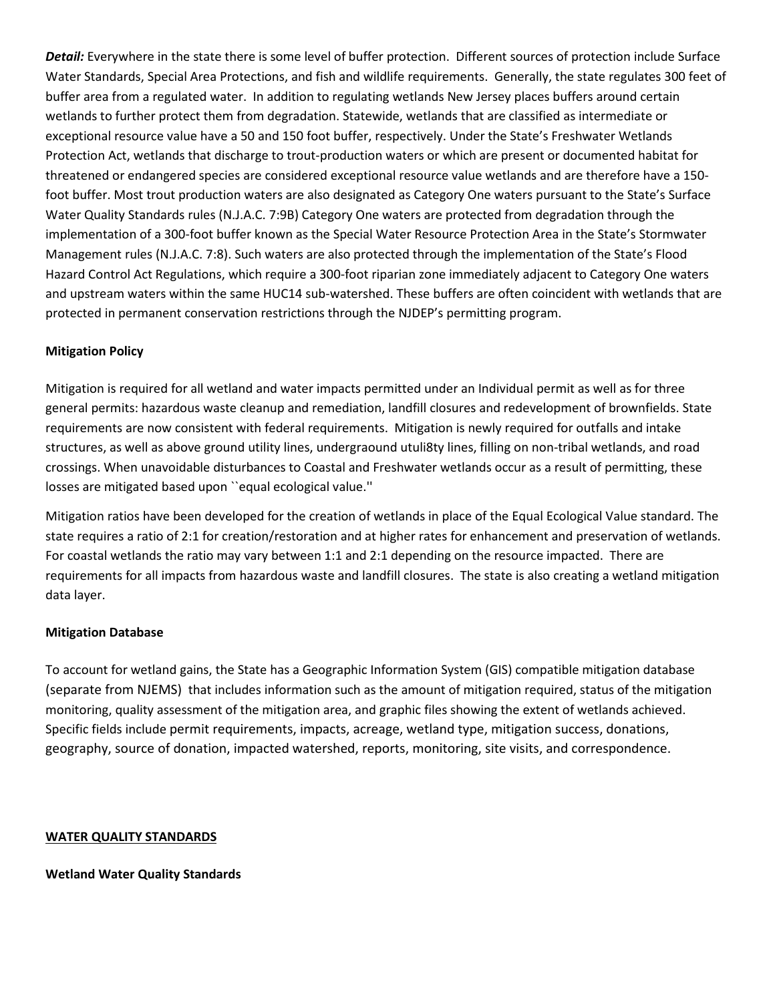*Detail:* Everywhere in the state there is some level of buffer protection. Different sources of protection include Surface Water Standards, Special Area Protections, and fish and wildlife requirements. Generally, the state regulates 300 feet of buffer area from a regulated water. In addition to regulating wetlands New Jersey places buffers around certain wetlands to further protect them from degradation. Statewide, wetlands that are classified as intermediate or exceptional resource value have a 50 and 150 foot buffer, respectively. Under the State's Freshwater Wetlands Protection Act, wetlands that discharge to trout-production waters or which are present or documented habitat for threatened or endangered species are considered exceptional resource value wetlands and are therefore have a 150 foot buffer. Most trout production waters are also designated as Category One waters pursuant to the State's Surface Water Quality Standards rules (N.J.A.C. 7:9B) Category One waters are protected from degradation through the implementation of a 300-foot buffer known as the Special Water Resource Protection Area in the State's Stormwater Management rules (N.J.A.C. 7:8). Such waters are also protected through the implementation of the State's Flood Hazard Control Act Regulations, which require a 300-foot riparian zone immediately adjacent to Category One waters and upstream waters within the same HUC14 sub-watershed. These buffers are often coincident with wetlands that are protected in permanent conservation restrictions through the NJDEP's permitting program.

# **Mitigation Policy**

Mitigation is required for all wetland and water impacts permitted under an Individual permit as well as for three general permits: hazardous waste cleanup and remediation, landfill closures and redevelopment of brownfields. State requirements are now consistent with federal requirements. Mitigation is newly required for outfalls and intake structures, as well as above ground utility lines, undergraound utuli8ty lines, filling on non-tribal wetlands, and road crossings. When unavoidable disturbances to Coastal and Freshwater wetlands occur as a result of permitting, these losses are mitigated based upon ``equal ecological value.''

Mitigation ratios have been developed for the creation of wetlands in place of the Equal Ecological Value standard. The state requires a ratio of 2:1 for creation/restoration and at higher rates for enhancement and preservation of wetlands. For coastal wetlands the ratio may vary between 1:1 and 2:1 depending on the resource impacted. There are requirements for all impacts from hazardous waste and landfill closures. The state is also creating a wetland mitigation data layer.

## **Mitigation Database**

To account for wetland gains, the State has a Geographic Information System (GIS) compatible mitigation database (separate from NJEMS) that includes information such as the amount of mitigation required, status of the mitigation monitoring, quality assessment of the mitigation area, and graphic files showing the extent of wetlands achieved. Specific fields include permit requirements, impacts, acreage, wetland type, mitigation success, donations, geography, source of donation, impacted watershed, reports, monitoring, site visits, and correspondence.

## <span id="page-5-0"></span>**WATER QUALITY STANDARDS**

**Wetland Water Quality Standards**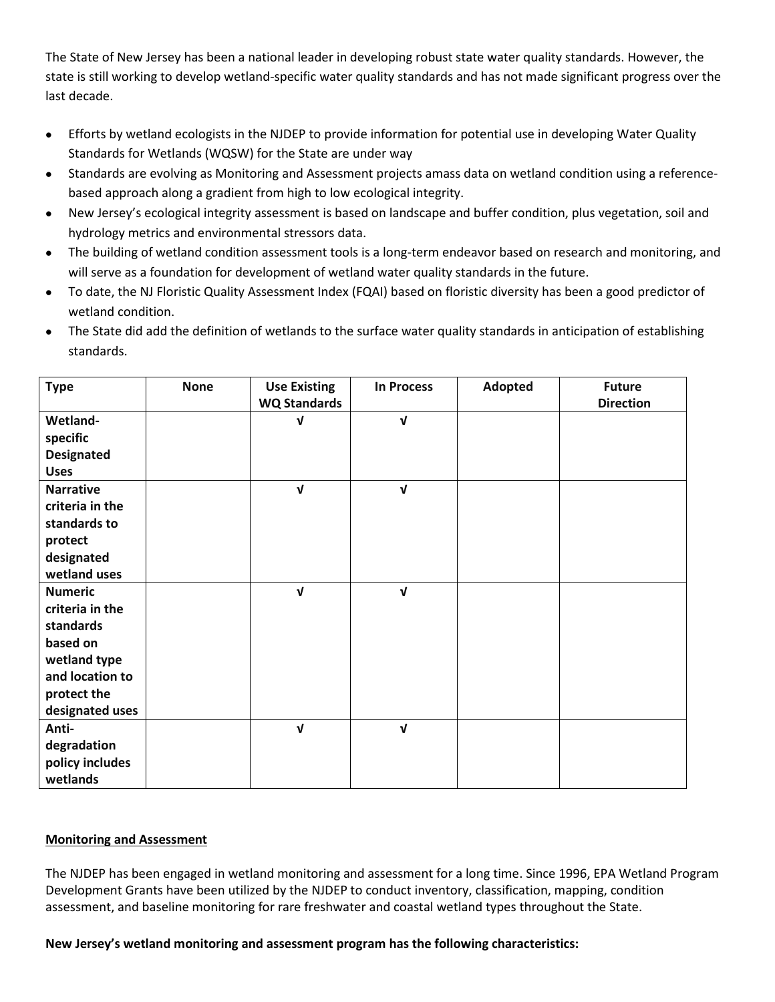The State of New Jersey has been a national leader in developing robust state water quality standards. However, the state is still working to develop wetland-specific water quality standards and has not made significant progress over the last decade.

- Efforts by wetland ecologists in the NJDEP to provide information for potential use in developing Water Quality Standards for Wetlands (WQSW) for the State are under way
- Standards are evolving as Monitoring and Assessment projects amass data on wetland condition using a referencebased approach along a gradient from high to low ecological integrity.
- New Jersey's ecological integrity assessment is based on landscape and buffer condition, plus vegetation, soil and hydrology metrics and environmental stressors data.
- The building of wetland condition assessment tools is a long-term endeavor based on research and monitoring, and will serve as a foundation for development of wetland water quality standards in the future.
- To date, the NJ Floristic Quality Assessment Index (FQAI) based on floristic diversity has been a good predictor of wetland condition.
- The State did add the definition of wetlands to the surface water quality standards in anticipation of establishing standards.

| <b>Type</b>       | <b>None</b> | <b>Use Existing</b><br><b>WQ Standards</b> | <b>In Process</b> | Adopted | <b>Future</b><br><b>Direction</b> |
|-------------------|-------------|--------------------------------------------|-------------------|---------|-----------------------------------|
| Wetland-          |             | V                                          | $\sqrt{ }$        |         |                                   |
| specific          |             |                                            |                   |         |                                   |
| <b>Designated</b> |             |                                            |                   |         |                                   |
| <b>Uses</b>       |             |                                            |                   |         |                                   |
| <b>Narrative</b>  |             | $\sqrt{ }$                                 | $\sqrt{ }$        |         |                                   |
| criteria in the   |             |                                            |                   |         |                                   |
| standards to      |             |                                            |                   |         |                                   |
| protect           |             |                                            |                   |         |                                   |
| designated        |             |                                            |                   |         |                                   |
| wetland uses      |             |                                            |                   |         |                                   |
| <b>Numeric</b>    |             | $\mathbf{V}$                               | $\sqrt{ }$        |         |                                   |
| criteria in the   |             |                                            |                   |         |                                   |
| standards         |             |                                            |                   |         |                                   |
| based on          |             |                                            |                   |         |                                   |
| wetland type      |             |                                            |                   |         |                                   |
| and location to   |             |                                            |                   |         |                                   |
| protect the       |             |                                            |                   |         |                                   |
| designated uses   |             |                                            |                   |         |                                   |
| Anti-             |             | $\sqrt{ }$                                 | $\sqrt{ }$        |         |                                   |
| degradation       |             |                                            |                   |         |                                   |
| policy includes   |             |                                            |                   |         |                                   |
| wetlands          |             |                                            |                   |         |                                   |

# <span id="page-6-0"></span>**Monitoring and Assessment**

The NJDEP has been engaged in wetland monitoring and assessment for a long time. Since 1996, EPA Wetland Program Development Grants have been utilized by the NJDEP to conduct inventory, classification, mapping, condition assessment, and baseline monitoring for rare freshwater and coastal wetland types throughout the State.

# **New Jersey's wetland monitoring and assessment program has the following characteristics:**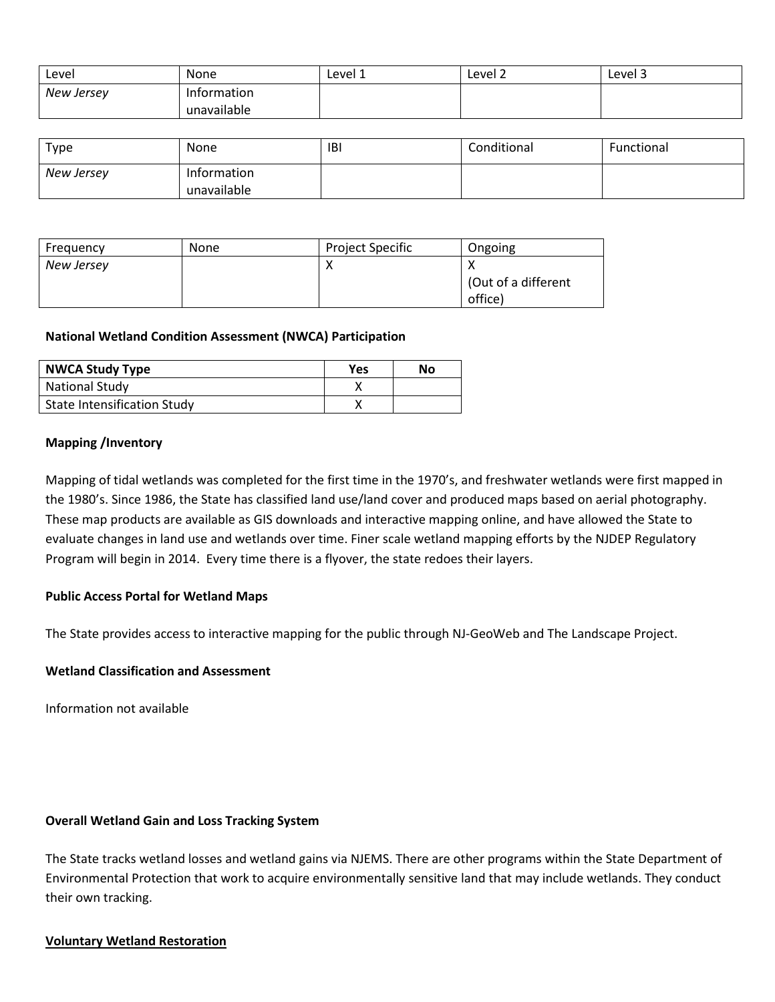| Level      | None        | Level 1 | Level 2 | Level 3 |
|------------|-------------|---------|---------|---------|
| New Jersey | Information |         |         |         |
|            | unavailable |         |         |         |

| Type       | None        | IBI | Conditional | Functional |
|------------|-------------|-----|-------------|------------|
| New Jersey | Information |     |             |            |
|            | unavailable |     |             |            |

| Frequency  | None | Project Specific | Ongoing             |
|------------|------|------------------|---------------------|
| New Jersey |      |                  | (Out of a different |
|            |      |                  | office)             |

#### **National Wetland Condition Assessment (NWCA) Participation**

| <b>NWCA Study Type</b>             | <b>Yes</b> | No |
|------------------------------------|------------|----|
| <b>National Study</b>              |            |    |
| <b>State Intensification Study</b> |            |    |

#### **Mapping /Inventory**

Mapping of tidal wetlands was completed for the first time in the 1970's, and freshwater wetlands were first mapped in the 1980's. Since 1986, the State has classified land use/land cover and produced maps based on aerial photography. These map products are available as GIS downloads and interactive mapping online, and have allowed the State to evaluate changes in land use and wetlands over time. Finer scale wetland mapping efforts by the NJDEP Regulatory Program will begin in 2014. Every time there is a flyover, the state redoes their layers.

#### **Public Access Portal for Wetland Maps**

The State provides access to interactive mapping for the public through NJ-GeoWeb and The Landscape Project.

#### **Wetland Classification and Assessment**

Information not available

#### **Overall Wetland Gain and Loss Tracking System**

The State tracks wetland losses and wetland gains via NJEMS. There are other programs within the State Department of Environmental Protection that work to acquire environmentally sensitive land that may include wetlands. They conduct their own tracking.

#### <span id="page-7-0"></span>**Voluntary Wetland Restoration**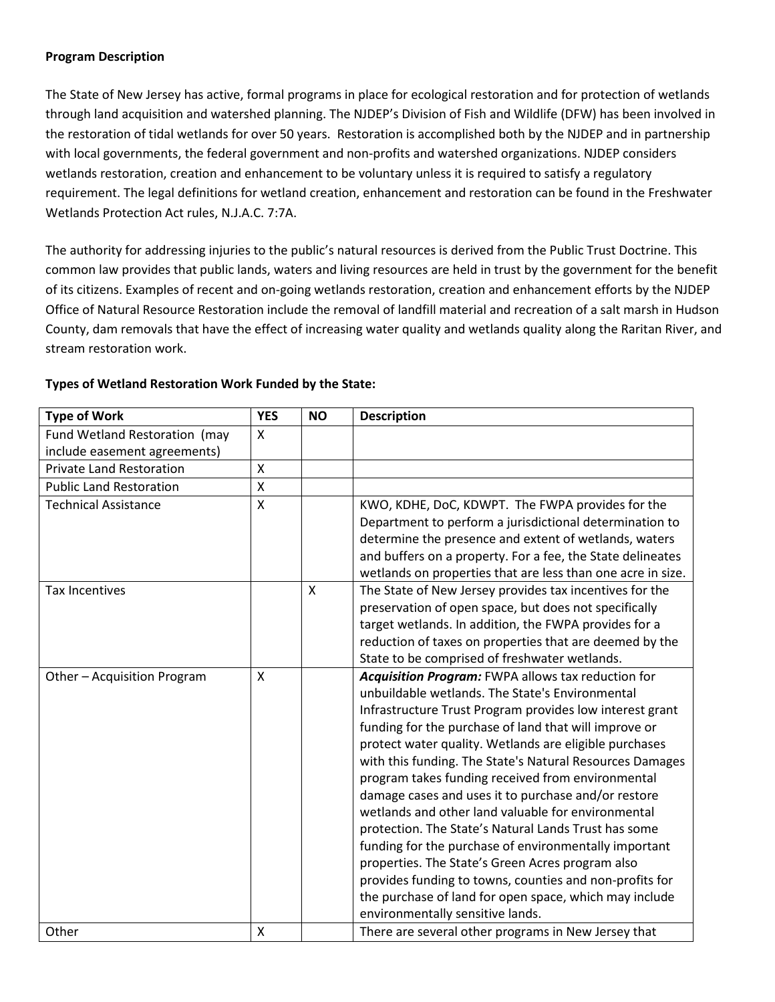## **Program Description**

The State of New Jersey has active, formal programs in place for ecological restoration and for protection of wetlands through land acquisition and watershed planning. The NJDEP's Division of Fish and Wildlife (DFW) has been involved in the restoration of tidal wetlands for over 50 years. Restoration is accomplished both by the NJDEP and in partnership with local governments, the federal government and non-profits and watershed organizations. NJDEP considers wetlands restoration, creation and enhancement to be voluntary unless it is required to satisfy a regulatory requirement. The legal definitions for wetland creation, enhancement and restoration can be found in the Freshwater Wetlands Protection Act rules, N.J.A.C. 7:7A.

The authority for addressing injuries to the public's natural resources is derived from the Public Trust Doctrine. This common law provides that public lands, waters and living resources are held in trust by the government for the benefit of its citizens. Examples of recent and on-going wetlands restoration, creation and enhancement efforts by the NJDEP Office of Natural Resource Restoration include the removal of landfill material and recreation of a salt marsh in Hudson County, dam removals that have the effect of increasing water quality and wetlands quality along the Raritan River, and stream restoration work.

| <b>Type of Work</b>             | <b>YES</b> | <b>NO</b> | <b>Description</b>                                          |
|---------------------------------|------------|-----------|-------------------------------------------------------------|
| Fund Wetland Restoration (may   | X          |           |                                                             |
| include easement agreements)    |            |           |                                                             |
| <b>Private Land Restoration</b> | X          |           |                                                             |
| <b>Public Land Restoration</b>  | X          |           |                                                             |
| <b>Technical Assistance</b>     | Χ          |           | KWO, KDHE, DoC, KDWPT. The FWPA provides for the            |
|                                 |            |           | Department to perform a jurisdictional determination to     |
|                                 |            |           | determine the presence and extent of wetlands, waters       |
|                                 |            |           | and buffers on a property. For a fee, the State delineates  |
|                                 |            |           | wetlands on properties that are less than one acre in size. |
| <b>Tax Incentives</b>           |            | X         | The State of New Jersey provides tax incentives for the     |
|                                 |            |           | preservation of open space, but does not specifically       |
|                                 |            |           | target wetlands. In addition, the FWPA provides for a       |
|                                 |            |           | reduction of taxes on properties that are deemed by the     |
|                                 |            |           | State to be comprised of freshwater wetlands.               |
| Other - Acquisition Program     | X          |           | Acquisition Program: FWPA allows tax reduction for          |
|                                 |            |           | unbuildable wetlands. The State's Environmental             |
|                                 |            |           | Infrastructure Trust Program provides low interest grant    |
|                                 |            |           | funding for the purchase of land that will improve or       |
|                                 |            |           | protect water quality. Wetlands are eligible purchases      |
|                                 |            |           | with this funding. The State's Natural Resources Damages    |
|                                 |            |           | program takes funding received from environmental           |
|                                 |            |           | damage cases and uses it to purchase and/or restore         |
|                                 |            |           | wetlands and other land valuable for environmental          |
|                                 |            |           | protection. The State's Natural Lands Trust has some        |
|                                 |            |           | funding for the purchase of environmentally important       |
|                                 |            |           | properties. The State's Green Acres program also            |
|                                 |            |           | provides funding to towns, counties and non-profits for     |
|                                 |            |           | the purchase of land for open space, which may include      |
|                                 |            |           | environmentally sensitive lands.                            |
| Other                           | Χ          |           | There are several other programs in New Jersey that         |

# **Types of Wetland Restoration Work Funded by the State:**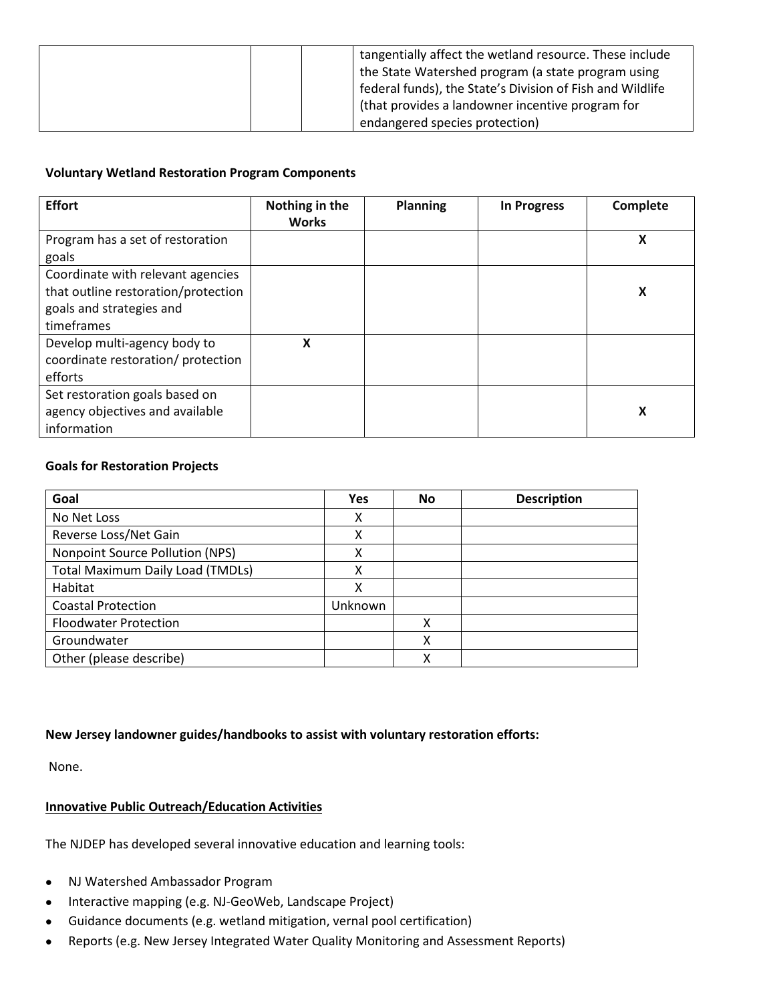| tangentially affect the wetland resource. These include<br>the State Watershed program (a state program using |
|---------------------------------------------------------------------------------------------------------------|
| federal funds), the State's Division of Fish and Wildlife                                                     |
| (that provides a landowner incentive program for                                                              |
| endangered species protection)                                                                                |

# **Voluntary Wetland Restoration Program Components**

| <b>Effort</b>                                                                                                      | Nothing in the<br><b>Works</b> | <b>Planning</b> | <b>In Progress</b> | Complete |
|--------------------------------------------------------------------------------------------------------------------|--------------------------------|-----------------|--------------------|----------|
| Program has a set of restoration<br>goals                                                                          |                                |                 |                    | X        |
| Coordinate with relevant agencies<br>that outline restoration/protection<br>goals and strategies and<br>timeframes |                                |                 |                    | X        |
| Develop multi-agency body to<br>coordinate restoration/ protection<br>efforts                                      | X                              |                 |                    |          |
| Set restoration goals based on<br>agency objectives and available<br>information                                   |                                |                 |                    | X        |

# **Goals for Restoration Projects**

| Goal                                    | Yes     | No | <b>Description</b> |
|-----------------------------------------|---------|----|--------------------|
| No Net Loss                             | x       |    |                    |
| Reverse Loss/Net Gain                   | χ       |    |                    |
| Nonpoint Source Pollution (NPS)         | χ       |    |                    |
| <b>Total Maximum Daily Load (TMDLs)</b> | x       |    |                    |
| Habitat                                 | χ       |    |                    |
| <b>Coastal Protection</b>               | Unknown |    |                    |
| <b>Floodwater Protection</b>            |         | χ  |                    |
| Groundwater                             |         | χ  |                    |
| Other (please describe)                 |         | x  |                    |

## **New Jersey landowner guides/handbooks to assist with voluntary restoration efforts:**

None.

# <span id="page-9-0"></span>**Innovative Public Outreach/Education Activities**

The NJDEP has developed several innovative education and learning tools:

- NJ Watershed Ambassador Program
- Interactive mapping (e.g. NJ-GeoWeb, Landscape Project)
- Guidance documents (e.g. wetland mitigation, vernal pool certification)
- Reports (e.g. New Jersey Integrated Water Quality Monitoring and Assessment Reports)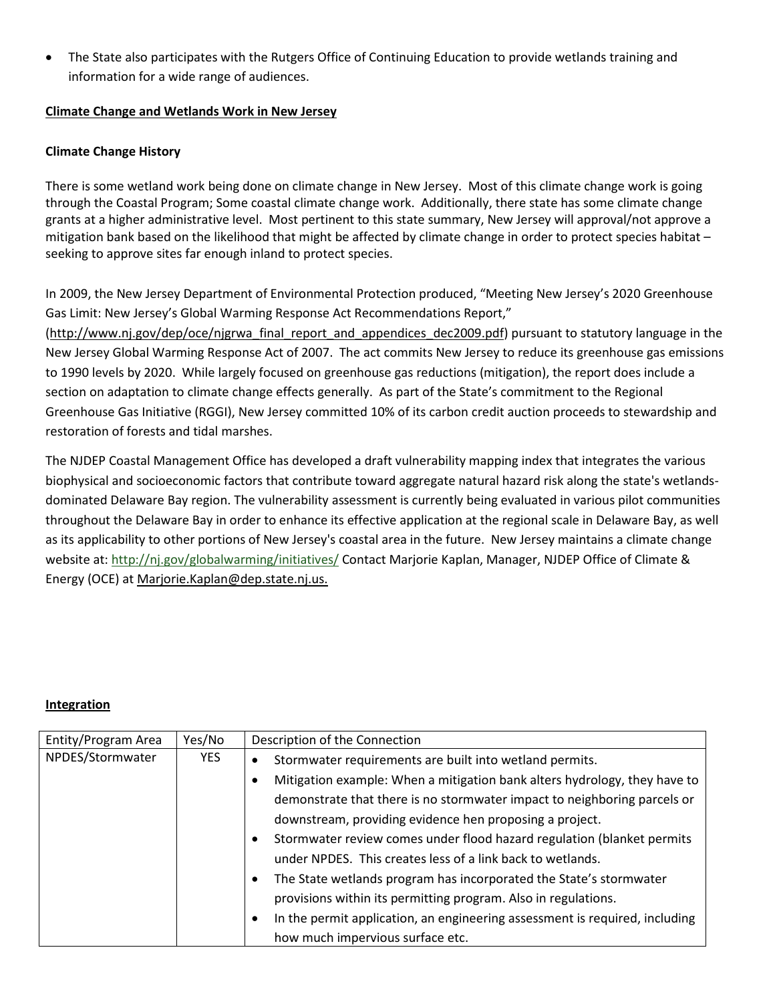• The State also participates with the Rutgers Office of Continuing Education to provide wetlands training and information for a wide range of audiences.

## **Climate Change and Wetlands Work in New Jersey**

# **Climate Change History**

There is some wetland work being done on climate change in New Jersey. Most of this climate change work is going through the Coastal Program; Some coastal climate change work. Additionally, there state has some climate change grants at a higher administrative level. Most pertinent to this state summary, New Jersey will approval/not approve a mitigation bank based on the likelihood that might be affected by climate change in order to protect species habitat – seeking to approve sites far enough inland to protect species.

In 2009, the New Jersey Department of Environmental Protection produced, "Meeting New Jersey's 2020 Greenhouse Gas Limit: New Jersey's Global Warming Response Act Recommendations Report,"

[\(http://www.nj.gov/dep/oce/njgrwa\\_final\\_report\\_and\\_appendices\\_dec2009.pdf\)](http://www.nj.gov/dep/oce/njgrwa_final_report_and_appendices_dec2009.pdf) pursuant to statutory language in the New Jersey Global Warming Response Act of 2007. The act commits New Jersey to reduce its greenhouse gas emissions to 1990 levels by 2020. While largely focused on greenhouse gas reductions (mitigation), the report does include a section on adaptation to climate change effects generally. As part of the State's commitment to the Regional Greenhouse Gas Initiative (RGGI), New Jersey committed 10% of its carbon credit auction proceeds to stewardship and restoration of forests and tidal marshes.

The NJDEP Coastal Management Office has developed a draft vulnerability mapping index that integrates the various biophysical and socioeconomic factors that contribute toward aggregate natural hazard risk along the state's wetlandsdominated Delaware Bay region. The vulnerability assessment is currently being evaluated in various pilot communities throughout the Delaware Bay in order to enhance its effective application at the regional scale in Delaware Bay, as well as its applicability to other portions of New Jersey's coastal area in the future. New Jersey maintains a climate change website at:<http://nj.gov/globalwarming/initiatives/> Contact Marjorie Kaplan, Manager, NJDEP Office of Climate & Energy (OCE) at [Marjorie.Kaplan@dep.state.nj.us.](mailto:Marjorie.Kaplan@dep.state.nj.us)

## <span id="page-10-0"></span>**Integration**

| Entity/Program Area | Yes/No     | Description of the Connection                                                                                                                                                                                                                                                                                                                                                                                                                                                                                                                                                                                                                                             |  |  |  |
|---------------------|------------|---------------------------------------------------------------------------------------------------------------------------------------------------------------------------------------------------------------------------------------------------------------------------------------------------------------------------------------------------------------------------------------------------------------------------------------------------------------------------------------------------------------------------------------------------------------------------------------------------------------------------------------------------------------------------|--|--|--|
| NPDES/Stormwater    | <b>YES</b> | Stormwater requirements are built into wetland permits.<br>$\bullet$<br>Mitigation example: When a mitigation bank alters hydrology, they have to<br>demonstrate that there is no stormwater impact to neighboring parcels or<br>downstream, providing evidence hen proposing a project.<br>Stormwater review comes under flood hazard regulation (blanket permits<br>under NPDES. This creates less of a link back to wetlands.<br>The State wetlands program has incorporated the State's stormwater<br>٠<br>provisions within its permitting program. Also in regulations.<br>In the permit application, an engineering assessment is required, including<br>$\bullet$ |  |  |  |
|                     |            | how much impervious surface etc.                                                                                                                                                                                                                                                                                                                                                                                                                                                                                                                                                                                                                                          |  |  |  |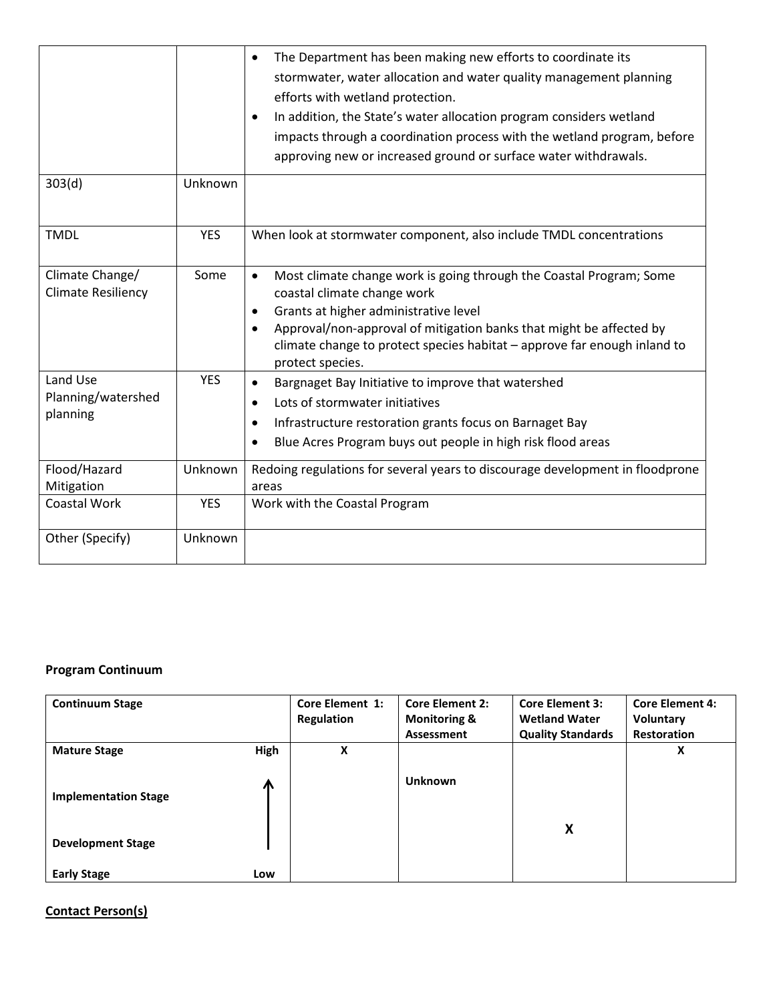|                                              |            | The Department has been making new efforts to coordinate its<br>$\bullet$<br>stormwater, water allocation and water quality management planning<br>efforts with wetland protection.<br>In addition, the State's water allocation program considers wetland<br>$\bullet$<br>impacts through a coordination process with the wetland program, before<br>approving new or increased ground or surface water withdrawals. |
|----------------------------------------------|------------|-----------------------------------------------------------------------------------------------------------------------------------------------------------------------------------------------------------------------------------------------------------------------------------------------------------------------------------------------------------------------------------------------------------------------|
| 303(d)                                       | Unknown    |                                                                                                                                                                                                                                                                                                                                                                                                                       |
| <b>TMDL</b>                                  | <b>YES</b> | When look at stormwater component, also include TMDL concentrations                                                                                                                                                                                                                                                                                                                                                   |
| Climate Change/<br><b>Climate Resiliency</b> | Some       | Most climate change work is going through the Coastal Program; Some<br>$\bullet$<br>coastal climate change work<br>Grants at higher administrative level<br>$\bullet$<br>Approval/non-approval of mitigation banks that might be affected by<br>$\bullet$<br>climate change to protect species habitat - approve far enough inland to<br>protect species.                                                             |
| Land Use<br>Planning/watershed<br>planning   | <b>YES</b> | Bargnaget Bay Initiative to improve that watershed<br>$\bullet$<br>Lots of stormwater initiatives<br>$\bullet$<br>Infrastructure restoration grants focus on Barnaget Bay<br>$\bullet$<br>Blue Acres Program buys out people in high risk flood areas<br>$\bullet$                                                                                                                                                    |
| Flood/Hazard<br>Mitigation                   | Unknown    | Redoing regulations for several years to discourage development in floodprone<br>areas                                                                                                                                                                                                                                                                                                                                |
| <b>Coastal Work</b>                          | <b>YES</b> | Work with the Coastal Program                                                                                                                                                                                                                                                                                                                                                                                         |
| Other (Specify)                              | Unknown    |                                                                                                                                                                                                                                                                                                                                                                                                                       |

# **Program Continuum**

| <b>Continuum Stage</b>      |      | <b>Core Element 1:</b> | <b>Core Element 2:</b>  | <b>Core Element 3:</b>   | <b>Core Element 4:</b> |
|-----------------------------|------|------------------------|-------------------------|--------------------------|------------------------|
|                             |      | Regulation             | <b>Monitoring &amp;</b> | <b>Wetland Water</b>     | Voluntary              |
|                             |      |                        | Assessment              | <b>Quality Standards</b> | <b>Restoration</b>     |
| <b>Mature Stage</b>         | High | X                      |                         |                          | x                      |
|                             |      |                        |                         |                          |                        |
|                             | Л    |                        | <b>Unknown</b>          |                          |                        |
| <b>Implementation Stage</b> |      |                        |                         |                          |                        |
|                             |      |                        |                         |                          |                        |
| <b>Development Stage</b>    |      |                        |                         | X                        |                        |
|                             |      |                        |                         |                          |                        |
| <b>Early Stage</b>          | Low  |                        |                         |                          |                        |

# **Contact Person(s)**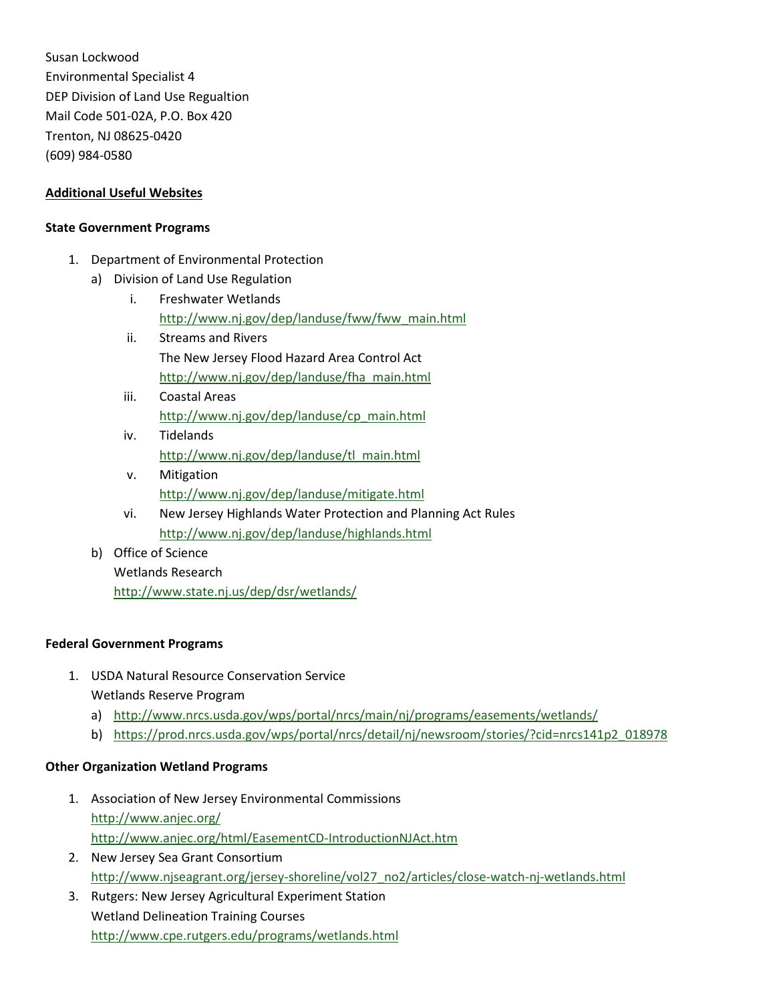Susan Lockwood Environmental Specialist 4 DEP Division of Land Use Regualtion Mail Code 501-02A, P.O. Box 420 Trenton, NJ 08625-0420 (609) 984-0580

# **Additional Useful Websites**

#### **State Government Programs**

- 1. Department of Environmental Protection
	- a) Division of Land Use Regulation
		- i. Freshwater Wetlands [http://www.nj.gov/dep/landuse/fww/fww\\_main.html](http://www.nj.gov/dep/landuse/fww/fww_main.html)
		- ii. Streams and Rivers The New Jersey Flood Hazard Area Control Act [http://www.nj.gov/dep/landuse/fha\\_main.html](http://www.nj.gov/dep/landuse/fha_main.html)
		- iii. Coastal Areas [http://www.nj.gov/dep/landuse/cp\\_main.html](http://www.nj.gov/dep/landuse/cp_main.html)
		- iv. Tidelands [http://www.nj.gov/dep/landuse/tl\\_main.html](http://www.nj.gov/dep/landuse/tl_main.html)
		- v. Mitigation <http://www.nj.gov/dep/landuse/mitigate.html>
		- vi. New Jersey Highlands Water Protection and Planning Act Rules <http://www.nj.gov/dep/landuse/highlands.html>
	- b) Office of Science Wetlands Research <http://www.state.nj.us/dep/dsr/wetlands/>

## **Federal Government Programs**

- 1. USDA Natural Resource Conservation Service Wetlands Reserve Program
	- a) <http://www.nrcs.usda.gov/wps/portal/nrcs/main/nj/programs/easements/wetlands/>
	- b) [https://prod.nrcs.usda.gov/wps/portal/nrcs/detail/nj/newsroom/stories/?cid=nrcs141p2\\_018978](https://prod.nrcs.usda.gov/wps/portal/nrcs/detail/nj/newsroom/stories/?cid=nrcs141p2_018978)

## **Other Organization Wetland Programs**

- 1. Association of New Jersey Environmental Commissions <http://www.anjec.org/> <http://www.anjec.org/html/EasementCD-IntroductionNJAct.htm>
- 2. New Jersey Sea Grant Consortium [http://www.njseagrant.org/jersey-shoreline/vol27\\_no2/articles/close-watch-nj-wetlands.html](http://www.njseagrant.org/jersey-shoreline/vol27_no2/articles/close-watch-nj-wetlands.html)
- 3. Rutgers: New Jersey Agricultural Experiment Station Wetland Delineation Training Courses <http://www.cpe.rutgers.edu/programs/wetlands.html>